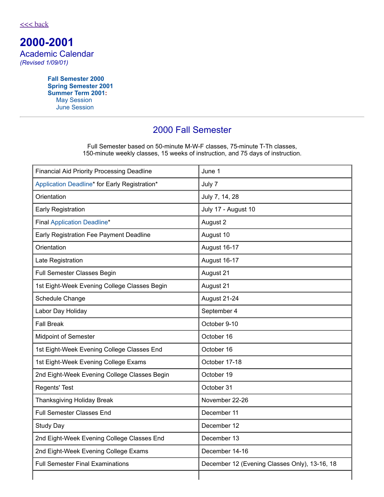**2000-2001** Academic Calendar *(Revised 1/09/01)*

> **Fall [Semester](#page-0-0) 2000 Spring [Semester](#page-1-0) 2001 [Summer](#page-1-1) Term 2001:** May [Session](#page-1-2) June [Session](#page-2-0)

# <span id="page-0-0"></span>2000 Fall Semester

Full Semester based on 50-minute M-W-F classes, 75-minute T-Th classes, 150-minute weekly classes, 15 weeks of instruction, and 75 days of instruction.

| <b>Financial Aid Priority Processing Deadline</b> | June 1                                        |
|---------------------------------------------------|-----------------------------------------------|
| Application Deadline* for Early Registration*     | July 7                                        |
| Orientation                                       | July 7, 14, 28                                |
| <b>Early Registration</b>                         | July 17 - August 10                           |
| <b>Final Application Deadline*</b>                | August 2                                      |
| Early Registration Fee Payment Deadline           | August 10                                     |
| Orientation                                       | August 16-17                                  |
| Late Registration                                 | August 16-17                                  |
| Full Semester Classes Begin                       | August 21                                     |
| 1st Eight-Week Evening College Classes Begin      | August 21                                     |
| Schedule Change                                   | August 21-24                                  |
| Labor Day Holiday                                 | September 4                                   |
| <b>Fall Break</b>                                 | October 9-10                                  |
| <b>Midpoint of Semester</b>                       | October 16                                    |
| 1st Eight-Week Evening College Classes End        | October 16                                    |
| 1st Eight-Week Evening College Exams              | October 17-18                                 |
| 2nd Eight-Week Evening College Classes Begin      | October 19                                    |
| <b>Regents' Test</b>                              | October 31                                    |
| <b>Thanksgiving Holiday Break</b>                 | November 22-26                                |
| <b>Full Semester Classes End</b>                  | December 11                                   |
| Study Day                                         | December 12                                   |
| 2nd Eight-Week Evening College Classes End        | December 13                                   |
| 2nd Eight-Week Evening College Exams              | December 14-16                                |
| <b>Full Semester Final Examinations</b>           | December 12 (Evening Classes Only), 13-16, 18 |
|                                                   |                                               |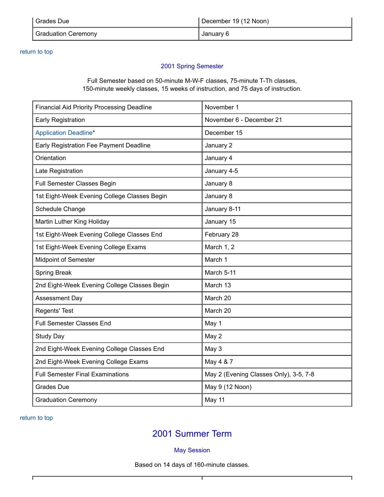| Grades Due                 | December 19 (12 Noon) |
|----------------------------|-----------------------|
| <b>Graduation Ceremony</b> | January 6             |

### return to top

## <span id="page-1-0"></span>2001 Spring Semester

Full Semester based on 50-minute M-W-F classes, 75-minute T-Th classes, 150-minute weekly classes, 15 weeks of instruction, and 75 days of instruction.

| <b>Financial Aid Priority Processing Deadline</b> | November 1                             |
|---------------------------------------------------|----------------------------------------|
| <b>Early Registration</b>                         | November 6 - December 21               |
| <b>Application Deadline*</b>                      | December 15                            |
| Early Registration Fee Payment Deadline           | January 2                              |
| Orientation                                       | January 4                              |
| Late Registration                                 | January 4-5                            |
| Full Semester Classes Begin                       | January 8                              |
| 1st Eight-Week Evening College Classes Begin      | January 8                              |
| Schedule Change                                   | January 8-11                           |
| Martin Luther King Holiday                        | January 15                             |
| 1st Eight-Week Evening College Classes End        | February 28                            |
| 1st Eight-Week Evening College Exams              | March 1, 2                             |
| <b>Midpoint of Semester</b>                       | March 1                                |
| Spring Break                                      | March 5-11                             |
| 2nd Eight-Week Evening College Classes Begin      | March 13                               |
| Assessment Day                                    | March 20                               |
| Regents' Test                                     | March 20                               |
| <b>Full Semester Classes End</b>                  | May 1                                  |
| <b>Study Day</b>                                  | May 2                                  |
| 2nd Eight-Week Evening College Classes End        | May 3                                  |
| 2nd Eight-Week Evening College Exams              | May 4 & 7                              |
| <b>Full Semester Final Examinations</b>           | May 2 (Evening Classes Only), 3-5, 7-8 |
| <b>Grades Due</b>                                 | May 9 (12 Noon)                        |
| <b>Graduation Ceremony</b>                        | May 11                                 |

return to top

# <span id="page-1-1"></span>2001 Summer Term

## <span id="page-1-2"></span>May Session

Based on 14 days of 160-minute classes.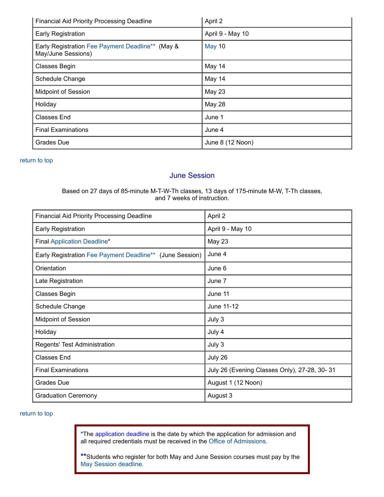| <b>Financial Aid Priority Processing Deadline</b>                      | April 2          |
|------------------------------------------------------------------------|------------------|
| Early Registration                                                     | April 9 - May 10 |
| Early Registration Fee Payment Deadline** (May &<br>May/June Sessions) | <b>May 10</b>    |
| <b>Classes Begin</b>                                                   | May 14           |
| Schedule Change                                                        | May 14           |
| <b>Midpoint of Session</b>                                             | May 23           |
| Holiday                                                                | <b>May 28</b>    |
| <b>Classes End</b>                                                     | June 1           |
| <b>Final Examinations</b>                                              | June 4           |
| <b>Grades Due</b>                                                      | June 8 (12 Noon) |

#### return to top

## <span id="page-2-2"></span><span id="page-2-0"></span>June Session

Based on 27 days of 85-minute M-T-W-Th classes, 13 days of 175-minute M-W, T-Th classes, and 7 weeks of instruction.

| <b>Financial Aid Priority Processing Deadline</b>        | April 2                                      |
|----------------------------------------------------------|----------------------------------------------|
| Early Registration                                       | April 9 - May 10                             |
| <b>Final Application Deadline*</b>                       | May 23                                       |
| Early Registration Fee Payment Deadline** (June Session) | June 4                                       |
| Orientation                                              | June 6                                       |
| Late Registration                                        | June 7                                       |
| <b>Classes Begin</b>                                     | June 11                                      |
| Schedule Change                                          | June 11-12                                   |
| Midpoint of Session                                      | July 3                                       |
| Holiday                                                  | July 4                                       |
| Regents' Test Administration                             | July 3                                       |
| <b>Classes End</b>                                       | July 26                                      |
| <b>Final Examinations</b>                                | July 26 (Evening Classes Only), 27-28, 30-31 |
| <b>Grades Due</b>                                        | August 1 (12 Noon)                           |
| <b>Graduation Ceremony</b>                               | August 3                                     |

### return to top

<span id="page-2-1"></span>**\***The application deadline is the date by which the application for admission and all required credentials must be received in the Office of [Admissions.](http://admissions.columbusstate.edu/)

**\*\***Students who register for both May and June Session courses must pay by the May Session [deadline](#page-2-2).